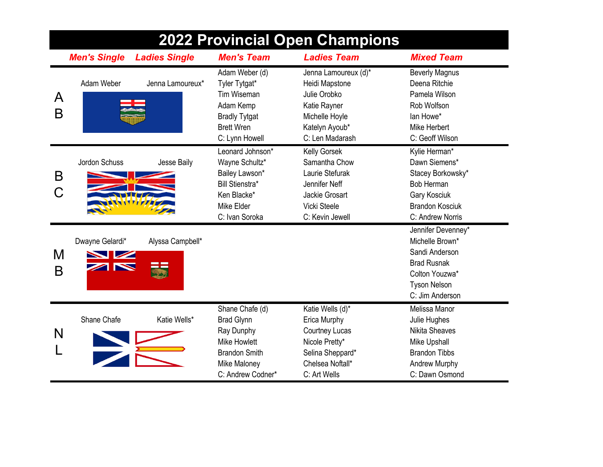| <b>2022 Provincial Open Champions</b> |                                                       |                      |                                                                                                                                               |                                                                                                                                     |                                                                                                                                           |  |
|---------------------------------------|-------------------------------------------------------|----------------------|-----------------------------------------------------------------------------------------------------------------------------------------------|-------------------------------------------------------------------------------------------------------------------------------------|-------------------------------------------------------------------------------------------------------------------------------------------|--|
|                                       | <b>Men's Single</b>                                   | <b>Ladies Single</b> | <b>Men's Team</b>                                                                                                                             | <b>Ladies Team</b>                                                                                                                  | <b>Mixed Team</b>                                                                                                                         |  |
| A<br>B                                | Adam Weber                                            | Jenna Lamoureux*     | Adam Weber (d)<br>Tyler Tytgat*<br>Tim Wiseman<br>Adam Kemp<br><b>Bradly Tytgat</b><br><b>Brett Wren</b><br>C: Lynn Howell                    | Jenna Lamoureux (d)*<br>Heidi Mapstone<br>Julie Orobko<br>Katie Rayner<br>Michelle Hoyle<br>Katelyn Ayoub*<br>C: Len Madarash       | <b>Beverly Magnus</b><br>Deena Ritchie<br>Pamela Wilson<br>Rob Wolfson<br>lan Howe*<br>Mike Herbert<br>C: Geoff Wilson                    |  |
| B                                     | Jordon Schuss                                         | Jesse Baily          | Leonard Johnson*<br>Wayne Schultz*<br>Bailey Lawson*<br><b>Bill Stienstra*</b><br>Ken Blacke*<br>Mike Elder<br>C: Ivan Soroka                 | Kelly Gorsek<br>Samantha Chow<br>Laurie Stefurak<br>Jennifer Neff<br>Jackie Grosart<br>Vicki Steele<br>C: Kevin Jewell              | Kylie Herman*<br>Dawn Siemens*<br>Stacey Borkowsky*<br><b>Bob Herman</b><br>Gary Kosciuk<br><b>Brandon Kosciuk</b><br>C: Andrew Norris    |  |
| M<br>B                                | Dwayne Gelardi*<br><b>NZ</b><br>$\blacktriangleright$ | Alyssa Campbell*     |                                                                                                                                               |                                                                                                                                     | Jennifer Devenney*<br>Michelle Brown*<br>Sandi Anderson<br><b>Brad Rusnak</b><br>Colton Youzwa*<br><b>Tyson Nelson</b><br>C: Jim Anderson |  |
| N                                     | Shane Chafe                                           | Katie Wells*         | Shane Chafe (d)<br><b>Brad Glynn</b><br>Ray Dunphy<br><b>Mike Howlett</b><br><b>Brandon Smith</b><br><b>Mike Maloney</b><br>C: Andrew Codner* | Katie Wells (d)*<br>Erica Murphy<br><b>Courtney Lucas</b><br>Nicole Pretty*<br>Selina Sheppard*<br>Chelsea Noftall*<br>C: Art Wells | Melissa Manor<br>Julie Hughes<br><b>Nikita Sheaves</b><br>Mike Upshall<br><b>Brandon Tibbs</b><br>Andrew Murphy<br>C: Dawn Osmond         |  |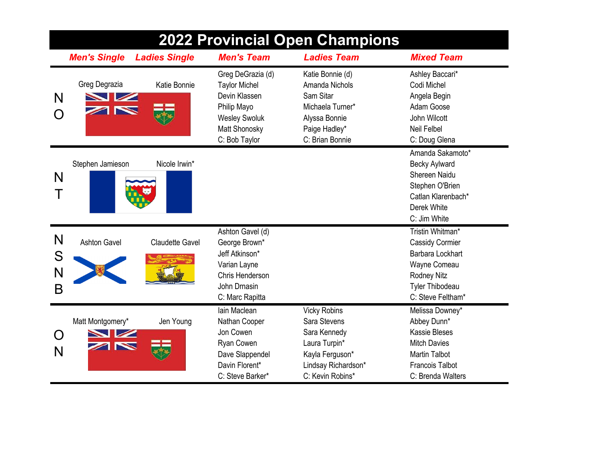| <b>2022 Provincial Open Champions</b> |                       |                        |                                                                                                                                     |                                                                                                                                    |                                                                                                                                                      |  |  |
|---------------------------------------|-----------------------|------------------------|-------------------------------------------------------------------------------------------------------------------------------------|------------------------------------------------------------------------------------------------------------------------------------|------------------------------------------------------------------------------------------------------------------------------------------------------|--|--|
|                                       | <b>Men's Single</b>   | <b>Ladies Single</b>   | <b>Men's Team</b>                                                                                                                   | <b>Ladies Team</b>                                                                                                                 | <b>Mixed Team</b>                                                                                                                                    |  |  |
| N                                     | Greg Degrazia<br>N    | Katie Bonnie           | Greg DeGrazia (d)<br><b>Taylor Michel</b><br>Devin Klassen<br>Philip Mayo<br><b>Wesley Swoluk</b><br>Matt Shonosky<br>C: Bob Taylor | Katie Bonnie (d)<br>Amanda Nichols<br>Sam Sitar<br>Michaela Turner*<br>Alyssa Bonnie<br>Paige Hadley*<br>C: Brian Bonnie           | Ashley Baccari*<br>Codi Michel<br>Angela Begin<br>Adam Goose<br>John Wilcott<br>Neil Felbel<br>C: Doug Glena                                         |  |  |
| N                                     | Stephen Jamieson      | Nicole Irwin*          |                                                                                                                                     |                                                                                                                                    | Amanda Sakamoto*<br><b>Becky Aylward</b><br>Shereen Naidu<br>Stephen O'Brien<br>Catlan Klarenbach*<br>Derek White<br>C: Jim White                    |  |  |
| N<br>S<br>N<br>B                      | <b>Ashton Gavel</b>   | <b>Claudette Gavel</b> | Ashton Gavel (d)<br>George Brown*<br>Jeff Atkinson*<br>Varian Layne<br>Chris Henderson<br>John Drnasin<br>C: Marc Rapitta           |                                                                                                                                    | Tristin Whitman*<br>Cassidy Cormier<br><b>Barbara Lockhart</b><br>Wayne Comeau<br><b>Rodney Nitz</b><br><b>Tyler Thibodeau</b><br>C: Steve Feltham*  |  |  |
| N                                     | Matt Montgomery*<br>h | Jen Young              | lain Maclean<br>Nathan Cooper<br>Jon Cowen<br>Ryan Cowen<br>Dave Slappendel<br>Davin Florent*<br>C: Steve Barker*                   | <b>Vicky Robins</b><br>Sara Stevens<br>Sara Kennedy<br>Laura Turpin*<br>Kayla Ferguson*<br>Lindsay Richardson*<br>C: Kevin Robins* | Melissa Downey*<br>Abbey Dunn*<br><b>Kassie Bleses</b><br><b>Mitch Davies</b><br><b>Martin Talbot</b><br><b>Francois Talbot</b><br>C: Brenda Walters |  |  |